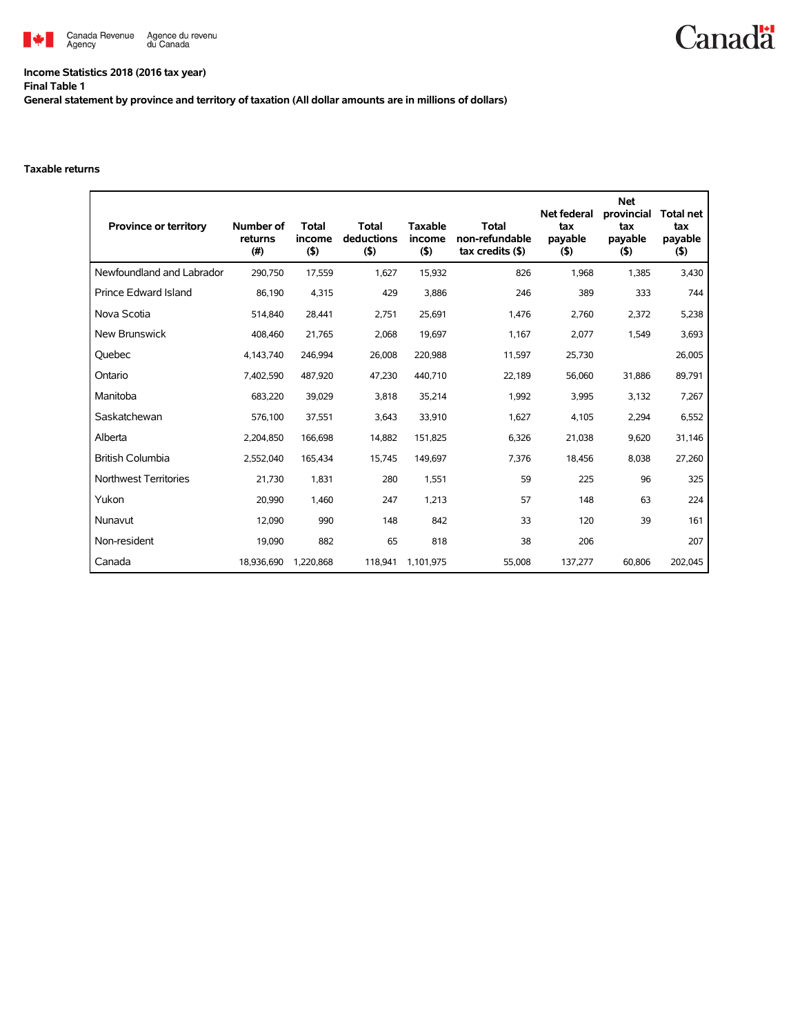

## **Income Statistics 2018 (2016 tax year) Final Table 1**

**General statement by province and territory of taxation (All dollar amounts are in millions of dollars)**

## **Taxable returns**

| <b>Province or territory</b> | Number of<br>returns<br>(#) | <b>Total</b><br>income<br>(5) | <b>Total</b><br>deductions<br>(5) | <b>Taxable</b><br>income<br>$($ \$) | <b>Total</b><br>non-refundable<br>$tax$ credits $($)$ | <b>Net federal</b><br>tax<br>payable<br>(5) | <b>Net</b><br>provincial<br>tax<br>payable<br>$($ \$) | <b>Total net</b><br>tax<br>payable<br>$($ \$) |
|------------------------------|-----------------------------|-------------------------------|-----------------------------------|-------------------------------------|-------------------------------------------------------|---------------------------------------------|-------------------------------------------------------|-----------------------------------------------|
| Newfoundland and Labrador    | 290,750                     | 17,559                        | 1,627                             | 15,932                              | 826                                                   | 1,968                                       | 1,385                                                 | 3,430                                         |
| <b>Prince Edward Island</b>  | 86,190                      | 4,315                         | 429                               | 3,886                               | 246                                                   | 389                                         | 333                                                   | 744                                           |
| Nova Scotia                  | 514,840                     | 28,441                        | 2,751                             | 25,691                              | 1,476                                                 | 2,760                                       | 2,372                                                 | 5,238                                         |
| <b>New Brunswick</b>         | 408,460                     | 21,765                        | 2,068                             | 19,697                              | 1,167                                                 | 2,077                                       | 1,549                                                 | 3,693                                         |
| Quebec                       | 4,143,740                   | 246,994                       | 26,008                            | 220,988                             | 11,597                                                | 25,730                                      |                                                       | 26,005                                        |
| Ontario                      | 7,402,590                   | 487,920                       | 47,230                            | 440,710                             | 22,189                                                | 56,060                                      | 31,886                                                | 89,791                                        |
| Manitoba                     | 683,220                     | 39,029                        | 3,818                             | 35,214                              | 1,992                                                 | 3,995                                       | 3,132                                                 | 7,267                                         |
| Saskatchewan                 | 576,100                     | 37,551                        | 3,643                             | 33,910                              | 1,627                                                 | 4,105                                       | 2,294                                                 | 6,552                                         |
| Alberta                      | 2.204.850                   | 166,698                       | 14.882                            | 151,825                             | 6,326                                                 | 21,038                                      | 9.620                                                 | 31,146                                        |
| <b>British Columbia</b>      | 2,552,040                   | 165,434                       | 15,745                            | 149,697                             | 7,376                                                 | 18,456                                      | 8,038                                                 | 27,260                                        |
| Northwest Territories        | 21.730                      | 1.831                         | 280                               | 1.551                               | 59                                                    | 225                                         | 96                                                    | 325                                           |
| Yukon                        | 20,990                      | 1,460                         | 247                               | 1,213                               | 57                                                    | 148                                         | 63                                                    | 224                                           |
| Nunavut                      | 12.090                      | 990                           | 148                               | 842                                 | 33                                                    | 120                                         | 39                                                    | 161                                           |
| Non-resident                 | 19.090                      | 882                           | 65                                | 818                                 | 38                                                    | 206                                         |                                                       | 207                                           |
| Canada                       | 18,936,690                  | 1,220,868                     | 118,941                           | 1,101,975                           | 55,008                                                | 137,277                                     | 60,806                                                | 202,045                                       |

**Canadä**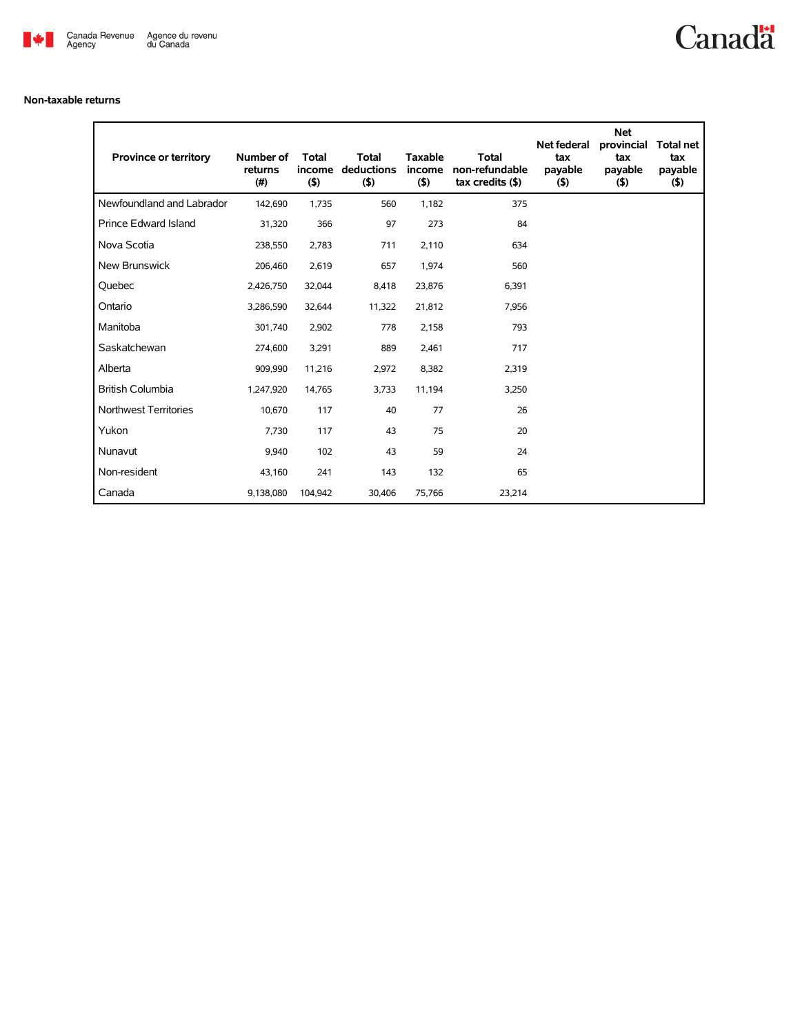

## **Non-taxable returns**

| <b>Province or territory</b> | Number of<br>returns<br>(#) | <b>Total</b><br>income<br>$($ \$) | <b>Total</b><br>deductions<br>$($ \$) | <b>Taxable</b><br>income<br>(5) | <b>Total</b><br>non-refundable<br>$tax$ credits $($)$ | Net federal<br>tax<br>payable<br>$($ \$) | Net<br>provincial<br>tax<br>payable<br>$($ \$) | <b>Total net</b><br>tax<br>payable<br>$($ \$) |
|------------------------------|-----------------------------|-----------------------------------|---------------------------------------|---------------------------------|-------------------------------------------------------|------------------------------------------|------------------------------------------------|-----------------------------------------------|
| Newfoundland and Labrador    | 142,690                     | 1,735                             | 560                                   | 1,182                           | 375                                                   |                                          |                                                |                                               |
| <b>Prince Edward Island</b>  | 31,320                      | 366                               | 97                                    | 273                             | 84                                                    |                                          |                                                |                                               |
| Nova Scotia                  | 238,550                     | 2,783                             | 711                                   | 2,110                           | 634                                                   |                                          |                                                |                                               |
| <b>New Brunswick</b>         | 206,460                     | 2,619                             | 657                                   | 1,974                           | 560                                                   |                                          |                                                |                                               |
| Quebec                       | 2,426,750                   | 32,044                            | 8,418                                 | 23,876                          | 6,391                                                 |                                          |                                                |                                               |
| Ontario                      | 3,286,590                   | 32,644                            | 11,322                                | 21,812                          | 7.956                                                 |                                          |                                                |                                               |
| Manitoba                     | 301.740                     | 2.902                             | 778                                   | 2,158                           | 793                                                   |                                          |                                                |                                               |
| Saskatchewan                 | 274,600                     | 3,291                             | 889                                   | 2,461                           | 717                                                   |                                          |                                                |                                               |
| Alberta                      | 909.990                     | 11,216                            | 2,972                                 | 8,382                           | 2,319                                                 |                                          |                                                |                                               |
| <b>British Columbia</b>      | 1,247,920                   | 14,765                            | 3,733                                 | 11,194                          | 3,250                                                 |                                          |                                                |                                               |
| <b>Northwest Territories</b> | 10.670                      | 117                               | 40                                    | 77                              | 26                                                    |                                          |                                                |                                               |
| Yukon                        | 7,730                       | 117                               | 43                                    | 75                              | 20                                                    |                                          |                                                |                                               |
| Nunavut                      | 9,940                       | 102                               | 43                                    | 59                              | 24                                                    |                                          |                                                |                                               |
| Non-resident                 | 43,160                      | 241                               | 143                                   | 132                             | 65                                                    |                                          |                                                |                                               |
| Canada                       | 9,138,080                   | 104,942                           | 30,406                                | 75,766                          | 23,214                                                |                                          |                                                |                                               |